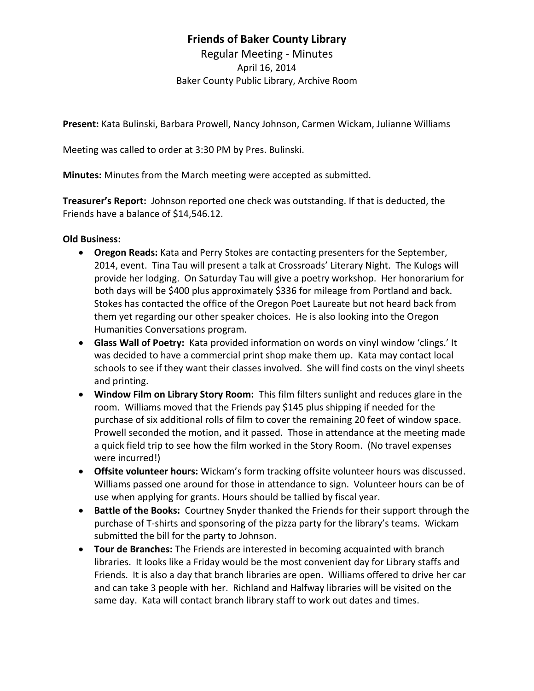## **Friends of Baker County Library**

Regular Meeting - Minutes April 16, 2014 Baker County Public Library, Archive Room

**Present:** Kata Bulinski, Barbara Prowell, Nancy Johnson, Carmen Wickam, Julianne Williams

Meeting was called to order at 3:30 PM by Pres. Bulinski.

**Minutes:** Minutes from the March meeting were accepted as submitted.

**Treasurer's Report:** Johnson reported one check was outstanding. If that is deducted, the Friends have a balance of \$14,546.12.

### **Old Business:**

- **Oregon Reads:** Kata and Perry Stokes are contacting presenters for the September, 2014, event. Tina Tau will present a talk at Crossroads' Literary Night. The Kulogs will provide her lodging. On Saturday Tau will give a poetry workshop. Her honorarium for both days will be \$400 plus approximately \$336 for mileage from Portland and back. Stokes has contacted the office of the Oregon Poet Laureate but not heard back from them yet regarding our other speaker choices. He is also looking into the Oregon Humanities Conversations program.
- **Glass Wall of Poetry:** Kata provided information on words on vinyl window 'clings.' It was decided to have a commercial print shop make them up. Kata may contact local schools to see if they want their classes involved. She will find costs on the vinyl sheets and printing.
- **Window Film on Library Story Room:** This film filters sunlight and reduces glare in the room. Williams moved that the Friends pay \$145 plus shipping if needed for the purchase of six additional rolls of film to cover the remaining 20 feet of window space. Prowell seconded the motion, and it passed. Those in attendance at the meeting made a quick field trip to see how the film worked in the Story Room. (No travel expenses were incurred!)
- **Offsite volunteer hours:** Wickam's form tracking offsite volunteer hours was discussed. Williams passed one around for those in attendance to sign. Volunteer hours can be of use when applying for grants. Hours should be tallied by fiscal year.
- **Battle of the Books:** Courtney Snyder thanked the Friends for their support through the purchase of T-shirts and sponsoring of the pizza party for the library's teams. Wickam submitted the bill for the party to Johnson.
- **Tour de Branches:** The Friends are interested in becoming acquainted with branch libraries. It looks like a Friday would be the most convenient day for Library staffs and Friends. It is also a day that branch libraries are open. Williams offered to drive her car and can take 3 people with her. Richland and Halfway libraries will be visited on the same day. Kata will contact branch library staff to work out dates and times.